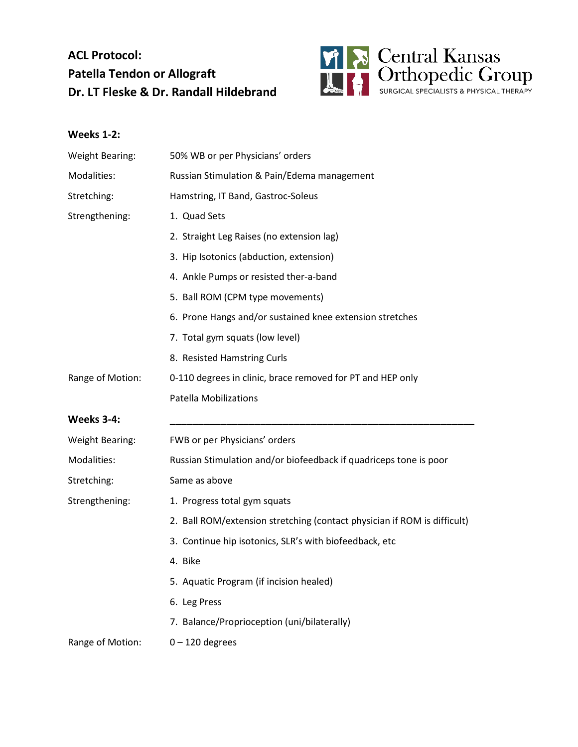## **ACL Protocol: Patella Tendon or Allograft Dr. LT Fleske & Dr. Randall Hildebrand**



## **Weeks 1-2:**

| <b>Weight Bearing:</b> | 50% WB or per Physicians' orders                                         |
|------------------------|--------------------------------------------------------------------------|
| Modalities:            | Russian Stimulation & Pain/Edema management                              |
| Stretching:            | Hamstring, IT Band, Gastroc-Soleus                                       |
| Strengthening:         | 1. Quad Sets                                                             |
|                        | 2. Straight Leg Raises (no extension lag)                                |
|                        | 3. Hip Isotonics (abduction, extension)                                  |
|                        | 4. Ankle Pumps or resisted ther-a-band                                   |
|                        | 5. Ball ROM (CPM type movements)                                         |
|                        | 6. Prone Hangs and/or sustained knee extension stretches                 |
|                        | 7. Total gym squats (low level)                                          |
|                        | 8. Resisted Hamstring Curls                                              |
| Range of Motion:       | 0-110 degrees in clinic, brace removed for PT and HEP only               |
|                        | <b>Patella Mobilizations</b>                                             |
| Weeks 3-4:             |                                                                          |
| <b>Weight Bearing:</b> | FWB or per Physicians' orders                                            |
| Modalities:            | Russian Stimulation and/or biofeedback if quadriceps tone is poor        |
| Stretching:            | Same as above                                                            |
| Strengthening:         | 1. Progress total gym squats                                             |
|                        | 2. Ball ROM/extension stretching (contact physician if ROM is difficult) |
|                        | 3. Continue hip isotonics, SLR's with biofeedback, etc                   |
|                        | 4. Bike                                                                  |
|                        | 5. Aquatic Program (if incision healed)                                  |
|                        | 6. Leg Press                                                             |
|                        | 7. Balance/Proprioception (uni/bilaterally)                              |
| Range of Motion:       | $0 - 120$ degrees                                                        |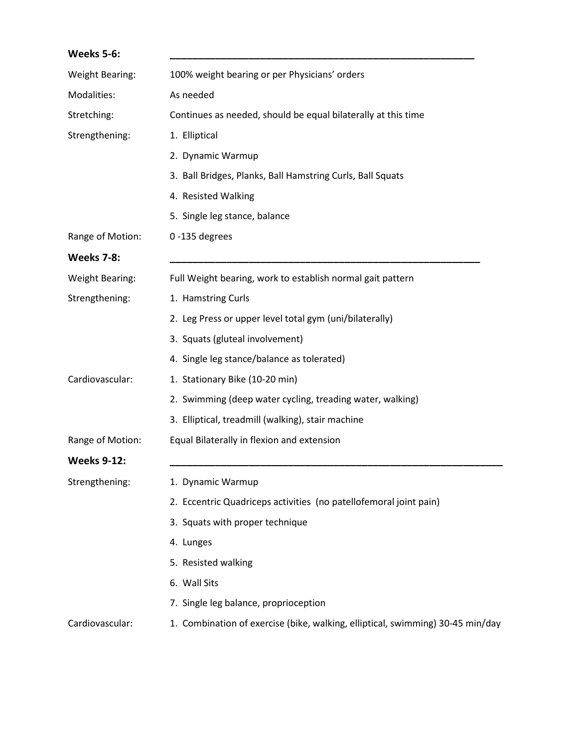| Weeks 5-6:             |                                                                                |
|------------------------|--------------------------------------------------------------------------------|
| <b>Weight Bearing:</b> | 100% weight bearing or per Physicians' orders                                  |
| Modalities:            | As needed                                                                      |
| Stretching:            | Continues as needed, should be equal bilaterally at this time                  |
| Strengthening:         | 1. Elliptical                                                                  |
|                        | 2. Dynamic Warmup                                                              |
|                        | 3. Ball Bridges, Planks, Ball Hamstring Curls, Ball Squats                     |
|                        | 4. Resisted Walking                                                            |
|                        | 5. Single leg stance, balance                                                  |
| Range of Motion:       | 0-135 degrees                                                                  |
| <b>Weeks 7-8:</b>      |                                                                                |
| <b>Weight Bearing:</b> | Full Weight bearing, work to establish normal gait pattern                     |
| Strengthening:         | 1. Hamstring Curls                                                             |
|                        | 2. Leg Press or upper level total gym (uni/bilaterally)                        |
|                        | 3. Squats (gluteal involvement)                                                |
|                        | 4. Single leg stance/balance as tolerated)                                     |
| Cardiovascular:        | 1. Stationary Bike (10-20 min)                                                 |
|                        | 2. Swimming (deep water cycling, treading water, walking)                      |
|                        | 3. Elliptical, treadmill (walking), stair machine                              |
| Range of Motion:       | Equal Bilaterally in flexion and extension                                     |
| <b>Weeks 9-12:</b>     |                                                                                |
| Strengthening:         | 1. Dynamic Warmup                                                              |
|                        | 2. Eccentric Quadriceps activities (no patellofemoral joint pain)              |
|                        | 3. Squats with proper technique                                                |
|                        | 4. Lunges                                                                      |
|                        | 5. Resisted walking                                                            |
|                        | 6. Wall Sits                                                                   |
|                        | 7. Single leg balance, proprioception                                          |
| Cardiovascular:        | 1. Combination of exercise (bike, walking, elliptical, swimming) 30-45 min/day |